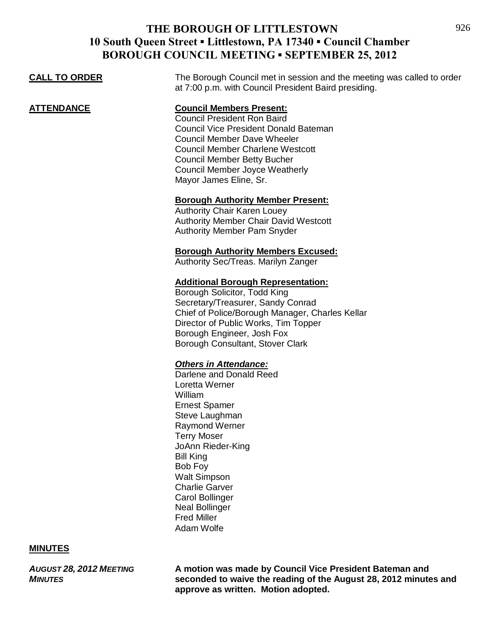| <b>CALL TO ORDER</b> | The Borough Council met in session and the meeting was called to order<br>at 7:00 p.m. with Council President Baird presiding. |
|----------------------|--------------------------------------------------------------------------------------------------------------------------------|
|                      |                                                                                                                                |

**ATTENDANCE Council Members Present:**

Council President Ron Baird Council Vice President Donald Bateman Council Member Dave Wheeler Council Member Charlene Westcott Council Member Betty Bucher Council Member Joyce Weatherly Mayor James Eline, Sr.

## **Borough Authority Member Present:**

Authority Chair Karen Louey Authority Member Chair David Westcott Authority Member Pam Snyder

## **Borough Authority Members Excused:**

Authority Sec/Treas. Marilyn Zanger

## **Additional Borough Representation:**

Borough Solicitor, Todd King Secretary/Treasurer, Sandy Conrad Chief of Police/Borough Manager, Charles Kellar Director of Public Works, Tim Topper Borough Engineer, Josh Fox Borough Consultant, Stover Clark

## *Others in Attendance:*

Darlene and Donald Reed Loretta Werner William Ernest Spamer Steve Laughman Raymond Werner Terry Moser JoAnn Rieder-King Bill King Bob Foy Walt Simpson Charlie Garver Carol Bollinger Neal Bollinger Fred Miller Adam Wolfe

## **MINUTES**

*AUGUST 28, 2012 MEETING* **A motion was made by Council Vice President Bateman and**  *MINUTES* **seconded to waive the reading of the August 28, 2012 minutes and approve as written. Motion adopted.**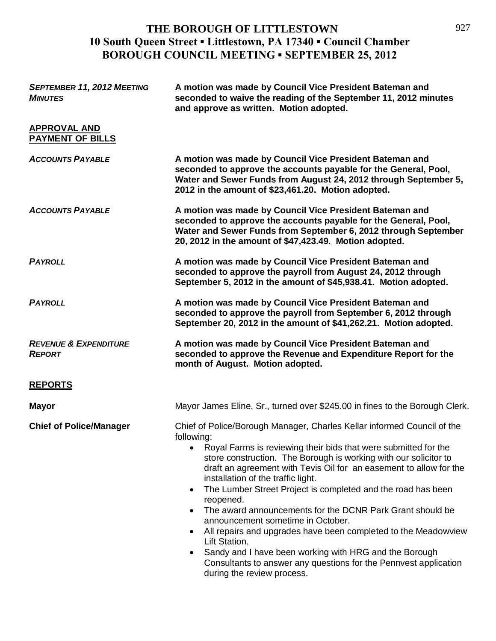| <b>SEPTEMBER 11, 2012 MEETING</b><br><b>MINUTES</b> | A motion was made by Council Vice President Bateman and<br>seconded to waive the reading of the September 11, 2012 minutes<br>and approve as written. Motion adopted.                                                                                                                                                                                                                                                                                                                                                                                                                                                                                                                                                                                                                                                      |
|-----------------------------------------------------|----------------------------------------------------------------------------------------------------------------------------------------------------------------------------------------------------------------------------------------------------------------------------------------------------------------------------------------------------------------------------------------------------------------------------------------------------------------------------------------------------------------------------------------------------------------------------------------------------------------------------------------------------------------------------------------------------------------------------------------------------------------------------------------------------------------------------|
| <b>APPROVAL AND</b><br><b>PAYMENT OF BILLS</b>      |                                                                                                                                                                                                                                                                                                                                                                                                                                                                                                                                                                                                                                                                                                                                                                                                                            |
| <b>ACCOUNTS PAYABLE</b>                             | A motion was made by Council Vice President Bateman and<br>seconded to approve the accounts payable for the General, Pool,<br>Water and Sewer Funds from August 24, 2012 through September 5,<br>2012 in the amount of \$23,461.20. Motion adopted.                                                                                                                                                                                                                                                                                                                                                                                                                                                                                                                                                                        |
| <b>ACCOUNTS PAYABLE</b>                             | A motion was made by Council Vice President Bateman and<br>seconded to approve the accounts payable for the General, Pool,<br>Water and Sewer Funds from September 6, 2012 through September<br>20, 2012 in the amount of \$47,423.49. Motion adopted.                                                                                                                                                                                                                                                                                                                                                                                                                                                                                                                                                                     |
| <b>PAYROLL</b>                                      | A motion was made by Council Vice President Bateman and<br>seconded to approve the payroll from August 24, 2012 through<br>September 5, 2012 in the amount of \$45,938.41. Motion adopted.                                                                                                                                                                                                                                                                                                                                                                                                                                                                                                                                                                                                                                 |
| <b>PAYROLL</b>                                      | A motion was made by Council Vice President Bateman and<br>seconded to approve the payroll from September 6, 2012 through<br>September 20, 2012 in the amount of \$41,262.21. Motion adopted.                                                                                                                                                                                                                                                                                                                                                                                                                                                                                                                                                                                                                              |
| <b>REVENUE &amp; EXPENDITURE</b><br><b>REPORT</b>   | A motion was made by Council Vice President Bateman and<br>seconded to approve the Revenue and Expenditure Report for the<br>month of August. Motion adopted.                                                                                                                                                                                                                                                                                                                                                                                                                                                                                                                                                                                                                                                              |
| <b>REPORTS</b>                                      |                                                                                                                                                                                                                                                                                                                                                                                                                                                                                                                                                                                                                                                                                                                                                                                                                            |
| <b>Mayor</b>                                        | Mayor James Eline, Sr., turned over \$245.00 in fines to the Borough Clerk.                                                                                                                                                                                                                                                                                                                                                                                                                                                                                                                                                                                                                                                                                                                                                |
| <b>Chief of Police/Manager</b>                      | Chief of Police/Borough Manager, Charles Kellar informed Council of the<br>following:<br>Royal Farms is reviewing their bids that were submitted for the<br>store construction. The Borough is working with our solicitor to<br>draft an agreement with Tevis Oil for an easement to allow for the<br>installation of the traffic light.<br>The Lumber Street Project is completed and the road has been<br>$\bullet$<br>reopened.<br>The award announcements for the DCNR Park Grant should be<br>$\bullet$<br>announcement sometime in October.<br>All repairs and upgrades have been completed to the Meadowview<br>$\bullet$<br>Lift Station.<br>Sandy and I have been working with HRG and the Borough<br>$\bullet$<br>Consultants to answer any questions for the Pennvest application<br>during the review process. |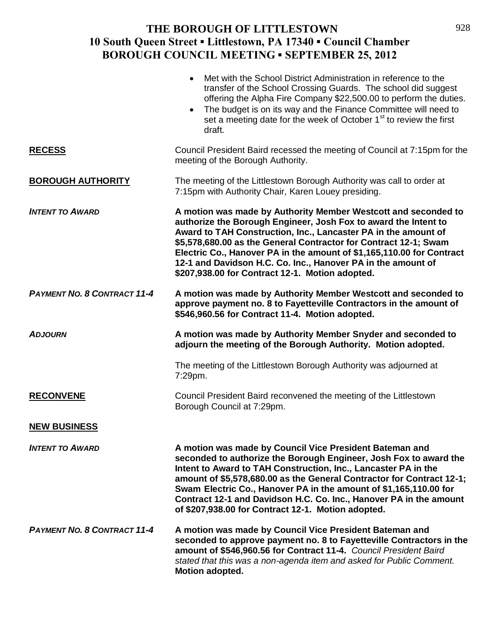|                                    | Met with the School District Administration in reference to the<br>$\bullet$<br>transfer of the School Crossing Guards. The school did suggest<br>offering the Alpha Fire Company \$22,500.00 to perform the duties.<br>The budget is on its way and the Finance Committee will need to<br>$\bullet$<br>set a meeting date for the week of October 1 <sup>st</sup> to review the first<br>draft.                                                                         |
|------------------------------------|--------------------------------------------------------------------------------------------------------------------------------------------------------------------------------------------------------------------------------------------------------------------------------------------------------------------------------------------------------------------------------------------------------------------------------------------------------------------------|
| <b>RECESS</b>                      | Council President Baird recessed the meeting of Council at 7:15pm for the<br>meeting of the Borough Authority.                                                                                                                                                                                                                                                                                                                                                           |
| <b>BOROUGH AUTHORITY</b>           | The meeting of the Littlestown Borough Authority was call to order at<br>7:15pm with Authority Chair, Karen Louey presiding.                                                                                                                                                                                                                                                                                                                                             |
| <b>INTENT TO AWARD</b>             | A motion was made by Authority Member Westcott and seconded to<br>authorize the Borough Engineer, Josh Fox to award the Intent to<br>Award to TAH Construction, Inc., Lancaster PA in the amount of<br>\$5,578,680.00 as the General Contractor for Contract 12-1; Swam<br>Electric Co., Hanover PA in the amount of \$1,165,110.00 for Contract<br>12-1 and Davidson H.C. Co. Inc., Hanover PA in the amount of<br>\$207,938.00 for Contract 12-1. Motion adopted.      |
| <b>PAYMENT NO. 8 CONTRACT 11-4</b> | A motion was made by Authority Member Westcott and seconded to<br>approve payment no. 8 to Fayetteville Contractors in the amount of<br>\$546,960.56 for Contract 11-4. Motion adopted.                                                                                                                                                                                                                                                                                  |
| <b>ADJOURN</b>                     | A motion was made by Authority Member Snyder and seconded to<br>adjourn the meeting of the Borough Authority. Motion adopted.                                                                                                                                                                                                                                                                                                                                            |
|                                    | The meeting of the Littlestown Borough Authority was adjourned at<br>7:29pm.                                                                                                                                                                                                                                                                                                                                                                                             |
| <b>RECONVENE</b>                   | Council President Baird reconvened the meeting of the Littlestown<br>Borough Council at 7:29pm.                                                                                                                                                                                                                                                                                                                                                                          |
| <b>NEW BUSINESS</b>                |                                                                                                                                                                                                                                                                                                                                                                                                                                                                          |
| <b>INTENT TO AWARD</b>             | A motion was made by Council Vice President Bateman and<br>seconded to authorize the Borough Engineer, Josh Fox to award the<br>Intent to Award to TAH Construction, Inc., Lancaster PA in the<br>amount of \$5,578,680.00 as the General Contractor for Contract 12-1;<br>Swam Electric Co., Hanover PA in the amount of \$1,165,110.00 for<br>Contract 12-1 and Davidson H.C. Co. Inc., Hanover PA in the amount<br>of \$207,938.00 for Contract 12-1. Motion adopted. |
| <b>PAYMENT NO. 8 CONTRACT 11-4</b> | A motion was made by Council Vice President Bateman and<br>seconded to approve payment no. 8 to Fayetteville Contractors in the<br>amount of \$546,960.56 for Contract 11-4. Council President Baird<br>stated that this was a non-agenda item and asked for Public Comment.<br>Motion adopted.                                                                                                                                                                          |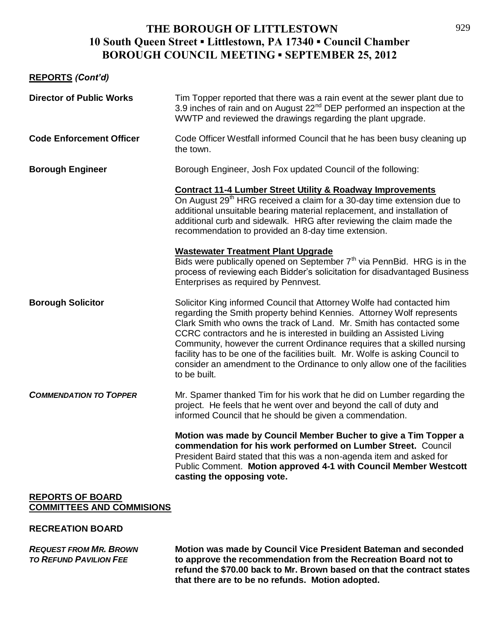## **REPORTS** *(Cont'd)*

| <b>Director of Public Works</b> | Tim Topper reported that there was a rain event at the sewer plant due to<br>3.9 inches of rain and on August 22 <sup>nd</sup> DEP performed an inspection at the<br>WWTP and reviewed the drawings regarding the plant upgrade.                                                                                                                                                                                                                                                                                                                           |
|---------------------------------|------------------------------------------------------------------------------------------------------------------------------------------------------------------------------------------------------------------------------------------------------------------------------------------------------------------------------------------------------------------------------------------------------------------------------------------------------------------------------------------------------------------------------------------------------------|
| <b>Code Enforcement Officer</b> | Code Officer Westfall informed Council that he has been busy cleaning up<br>the town.                                                                                                                                                                                                                                                                                                                                                                                                                                                                      |
| <b>Borough Engineer</b>         | Borough Engineer, Josh Fox updated Council of the following:                                                                                                                                                                                                                                                                                                                                                                                                                                                                                               |
|                                 | <b>Contract 11-4 Lumber Street Utility &amp; Roadway Improvements</b><br>On August 29 <sup>th</sup> HRG received a claim for a 30-day time extension due to<br>additional unsuitable bearing material replacement, and installation of<br>additional curb and sidewalk. HRG after reviewing the claim made the<br>recommendation to provided an 8-day time extension.                                                                                                                                                                                      |
|                                 | <b>Wastewater Treatment Plant Upgrade</b><br>Bids were publically opened on September 7 <sup>th</sup> via PennBid. HRG is in the<br>process of reviewing each Bidder's solicitation for disadvantaged Business<br>Enterprises as required by Pennvest.                                                                                                                                                                                                                                                                                                     |
| <b>Borough Solicitor</b>        | Solicitor King informed Council that Attorney Wolfe had contacted him<br>regarding the Smith property behind Kennies. Attorney Wolf represents<br>Clark Smith who owns the track of Land. Mr. Smith has contacted some<br>CCRC contractors and he is interested in building an Assisted Living<br>Community, however the current Ordinance requires that a skilled nursing<br>facility has to be one of the facilities built. Mr. Wolfe is asking Council to<br>consider an amendment to the Ordinance to only allow one of the facilities<br>to be built. |
| <b>COMMENDATION TO TOPPER</b>   | Mr. Spamer thanked Tim for his work that he did on Lumber regarding the<br>project. He feels that he went over and beyond the call of duty and<br>informed Council that he should be given a commendation.                                                                                                                                                                                                                                                                                                                                                 |
|                                 | Motion was made by Council Member Bucher to give a Tim Topper a<br>commendation for his work performed on Lumber Street. Council<br>President Baird stated that this was a non-agenda item and asked for<br>Public Comment. Motion approved 4-1 with Council Member Westcott<br>casting the opposing vote.                                                                                                                                                                                                                                                 |
| <b>REPORTS OF BOARD</b>         |                                                                                                                                                                                                                                                                                                                                                                                                                                                                                                                                                            |

# **COMMITTEES AND COMMISIONS**

#### **RECREATION BOARD**

*REQUEST FROM MR. BROWN* **Motion was made by Council Vice President Bateman and seconded**  *TO REFUND PAVILION FEE* **to approve the recommendation from the Recreation Board not to refund the \$70.00 back to Mr. Brown based on that the contract states that there are to be no refunds. Motion adopted.**